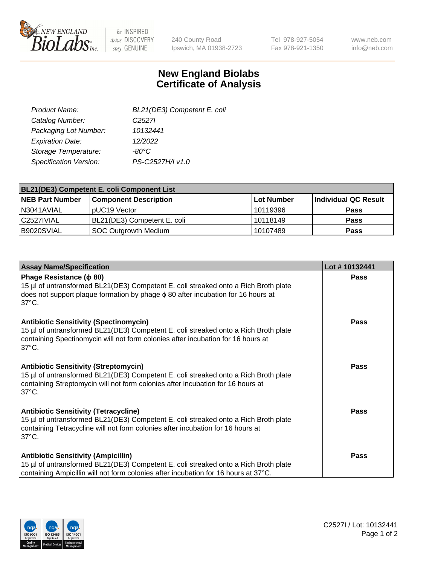

 $be$  INSPIRED drive DISCOVERY stay GENUINE

240 County Road Ipswich, MA 01938-2723 Tel 978-927-5054 Fax 978-921-1350

www.neb.com info@neb.com

## **New England Biolabs Certificate of Analysis**

| BL21(DE3) Competent E. coli |
|-----------------------------|
| C <sub>2527</sub>           |
| 10132441                    |
| 12/2022                     |
| $-80^{\circ}$ C             |
| PS-C2527H/I v1.0            |
|                             |

| <b>BL21(DE3) Competent E. coli Component List</b> |                              |              |                      |  |
|---------------------------------------------------|------------------------------|--------------|----------------------|--|
| <b>NEB Part Number</b>                            | <b>Component Description</b> | l Lot Number | Individual QC Result |  |
| N3041AVIAL                                        | pUC19 Vector                 | 10119396     | <b>Pass</b>          |  |
| l C2527IVIAL                                      | BL21(DE3) Competent E. coli  | 10118149     | <b>Pass</b>          |  |
| B9020SVIAL                                        | SOC Outgrowth Medium         | 10107489     | <b>Pass</b>          |  |

| <b>Assay Name/Specification</b>                                                                                                                                                                                                             | Lot #10132441 |
|---------------------------------------------------------------------------------------------------------------------------------------------------------------------------------------------------------------------------------------------|---------------|
| Phage Resistance ( $\phi$ 80)<br>15 µl of untransformed BL21(DE3) Competent E. coli streaked onto a Rich Broth plate<br>does not support plaque formation by phage $\phi$ 80 after incubation for 16 hours at<br>$37^{\circ}$ C.            | Pass          |
| <b>Antibiotic Sensitivity (Spectinomycin)</b><br>15 µl of untransformed BL21(DE3) Competent E. coli streaked onto a Rich Broth plate<br>containing Spectinomycin will not form colonies after incubation for 16 hours at<br>$37^{\circ}$ C. | Pass          |
| <b>Antibiotic Sensitivity (Streptomycin)</b><br>15 µl of untransformed BL21(DE3) Competent E. coli streaked onto a Rich Broth plate<br>containing Streptomycin will not form colonies after incubation for 16 hours at<br>$37^{\circ}$ C.   | Pass          |
| <b>Antibiotic Sensitivity (Tetracycline)</b><br>15 µl of untransformed BL21(DE3) Competent E. coli streaked onto a Rich Broth plate<br>containing Tetracycline will not form colonies after incubation for 16 hours at<br>$37^{\circ}$ C.   | Pass          |
| <b>Antibiotic Sensitivity (Ampicillin)</b><br>15 µl of untransformed BL21(DE3) Competent E. coli streaked onto a Rich Broth plate<br>containing Ampicillin will not form colonies after incubation for 16 hours at 37°C.                    | <b>Pass</b>   |